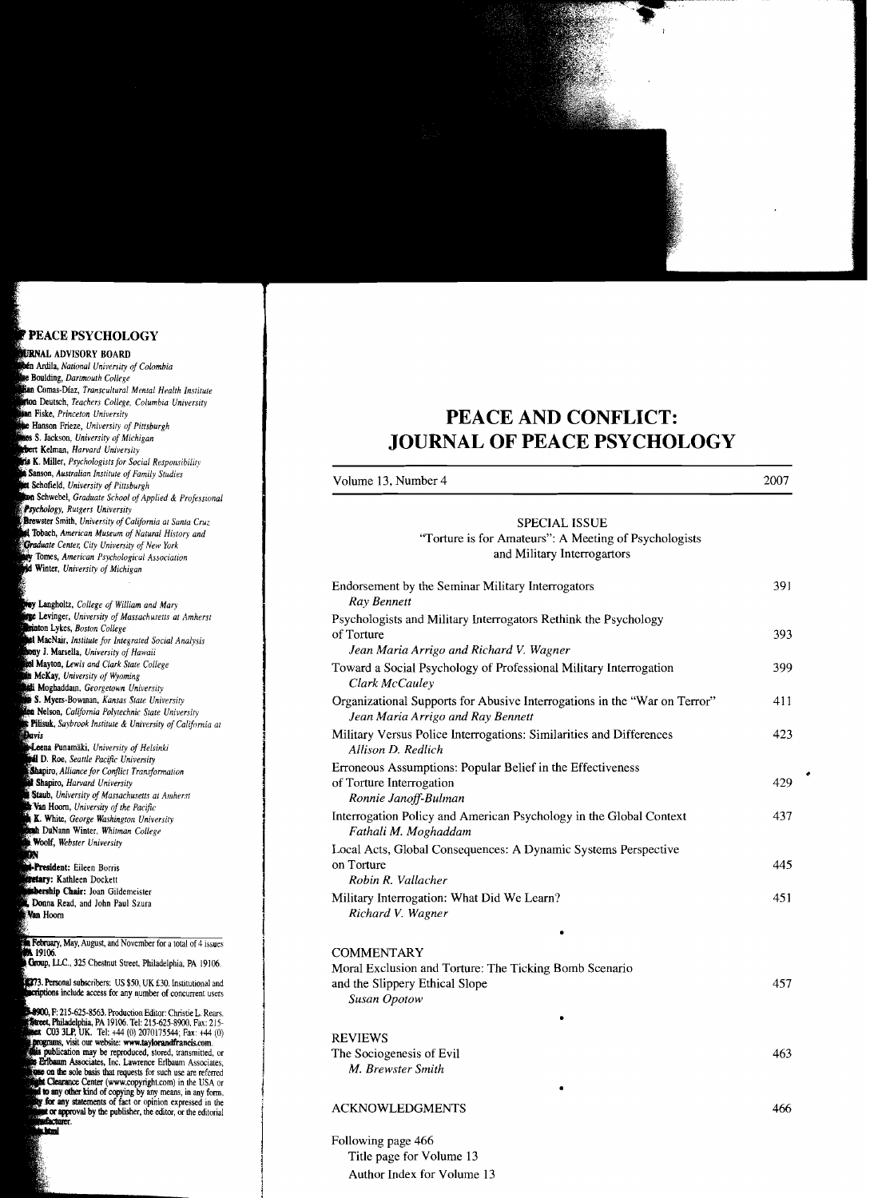# **PEACE AND CONFLICT: JOURNAL OF PEACE PSYCHOLOGY**

|  |  | Volume 13, Number 4 |  |
|--|--|---------------------|--|
|--|--|---------------------|--|

Author Index for Volume 13

2007

### SPECIAL ISSUE "Torture is for Amateurs": A Meeting of Psychologists and Military Interrogartors

| Endorsement by the Seminar Military Interrogators<br>Ray Bennett                                                         |     |
|--------------------------------------------------------------------------------------------------------------------------|-----|
| Psychologists and Military Interrogators Rethink the Psychology<br>of Torture<br>Jean Maria Arrigo and Richard V. Wagner |     |
| Toward a Social Psychology of Professional Military Interrogation<br>Clark McCauley                                      |     |
| Organizational Supports for Abusive Interrogations in the "War on Terror"<br>Jean Maria Arrigo and Ray Bennett           |     |
| Military Versus Police Interrogations: Similarities and Differences<br>Allison D. Redlich                                |     |
| Erroneous Assumptions: Popular Belief in the Effectiveness<br>of Torture Interrogation<br>Ronnie Janoff-Bulman           |     |
| Interrogation Policy and American Psychology in the Global Context<br>Fathali M. Moghaddam                               |     |
| Local Acts, Global Consequences: A Dynamic Systems Perspective<br>on Torture<br>Robin R. Vallacher                       |     |
| Military Interrogation: What Did We Learn?<br>Richard V. Wagner                                                          | 451 |
| <b>COMMENTARY</b>                                                                                                        |     |
| Moral Exclusion and Torture: The Ticking Bomb Scenario<br>and the Slippery Ethical Slope<br>Susan Opotow                 | 457 |
| <b>REVIEWS</b>                                                                                                           |     |
| The Sociogenesis of Evil<br>M. Brewster Smith                                                                            | 463 |
| <b>ACKNOWLEDGMENTS</b>                                                                                                   | 466 |
| Following page 466<br>Title page for Volume 13                                                                           |     |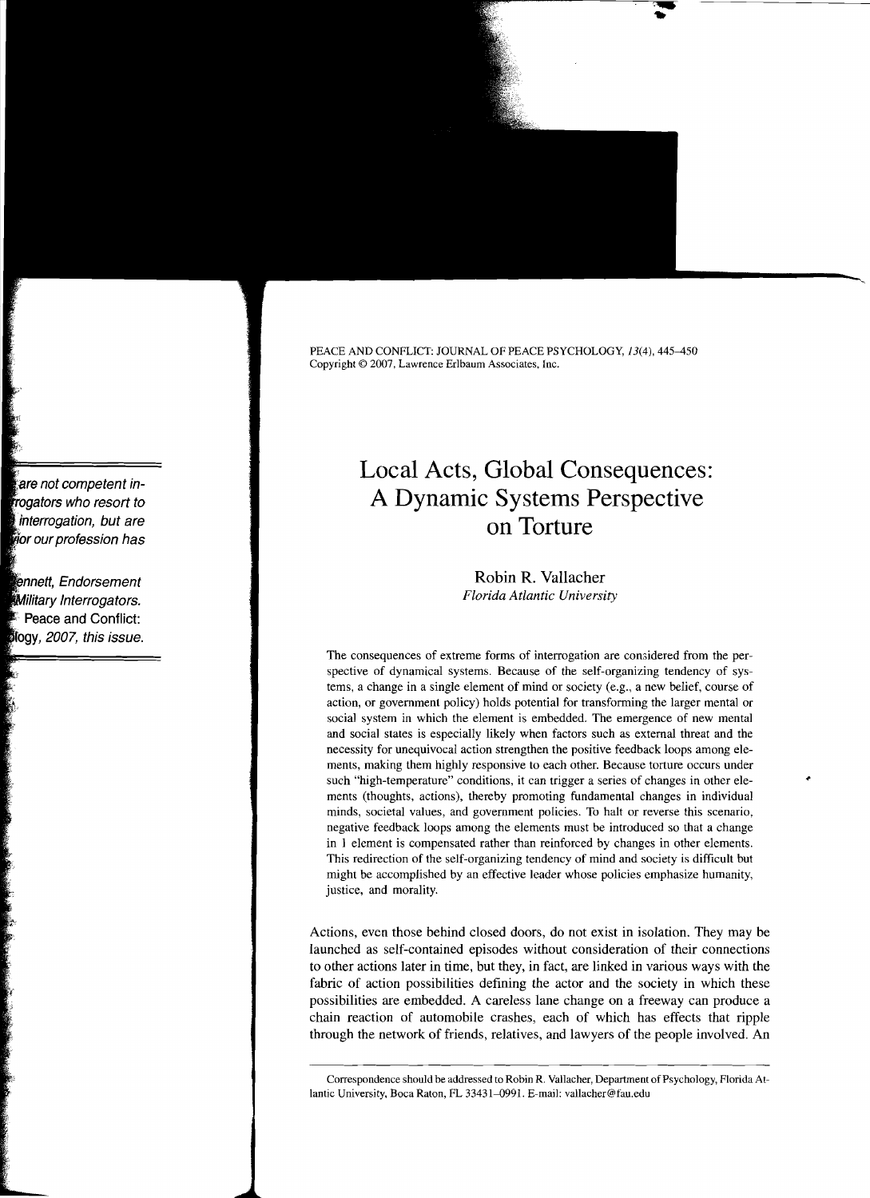# **Local Acts, Global Consequences: A Dynamic Systems Perspective on Torture**

## Robin R. Vallacher *Florida Atlantic University*

The consequences of extreme forms of interrogation are considered from the perspective of dynamical systems. Because of the self-organizing tendency of sys tems, a change in a single element of mind or society (e.g., a new belief, course of action, or government policy) holds potential for transforming the larger mental or social system in which the element is embedded. The emergence of new mental and social states is especially likely when factors such as external threat and the necessity for unequivocal action strengthen the positive feedback loops among ele ments, making them highly responsive to each other. Because torture occurs under such "high-temperature" conditions, it can trigger a series of changes in other ele ments (thoughts, actions), thereby promoting fundamental changes in individual minds, societal values, and government policies. To halt or reverse this scenario, negative feedback loops among the elements must be introduced so that a change in I element is compensated rather than reinforced by changes in other elements. This redirection of the self-organizing tendency of mind and society is difficult but might be accomplished by an effective leader whose policies emphasize humanity, justice, and morality.

Actions, even those behind closed doors, do not exist in isolation. They may be launched as self-contained episodes without consideration of their connections to other actions later in time, but they, in fact, are linked in various ways with the fabric of action possibilities defining the actor and the society in which these possibilities are embedded. A careless lane change on a freeway can produce a chain reaction of automobile crashes, each of which has effects that ripple through the network of friends, relatives, and lawyers of the people involved. An

Correspondence should be addressed to Robin R. Vallacher, Department of Psychology, Florida Atlantic University, Boca Raton, FL 33431-0991. E-mail: vallacher@fau.edu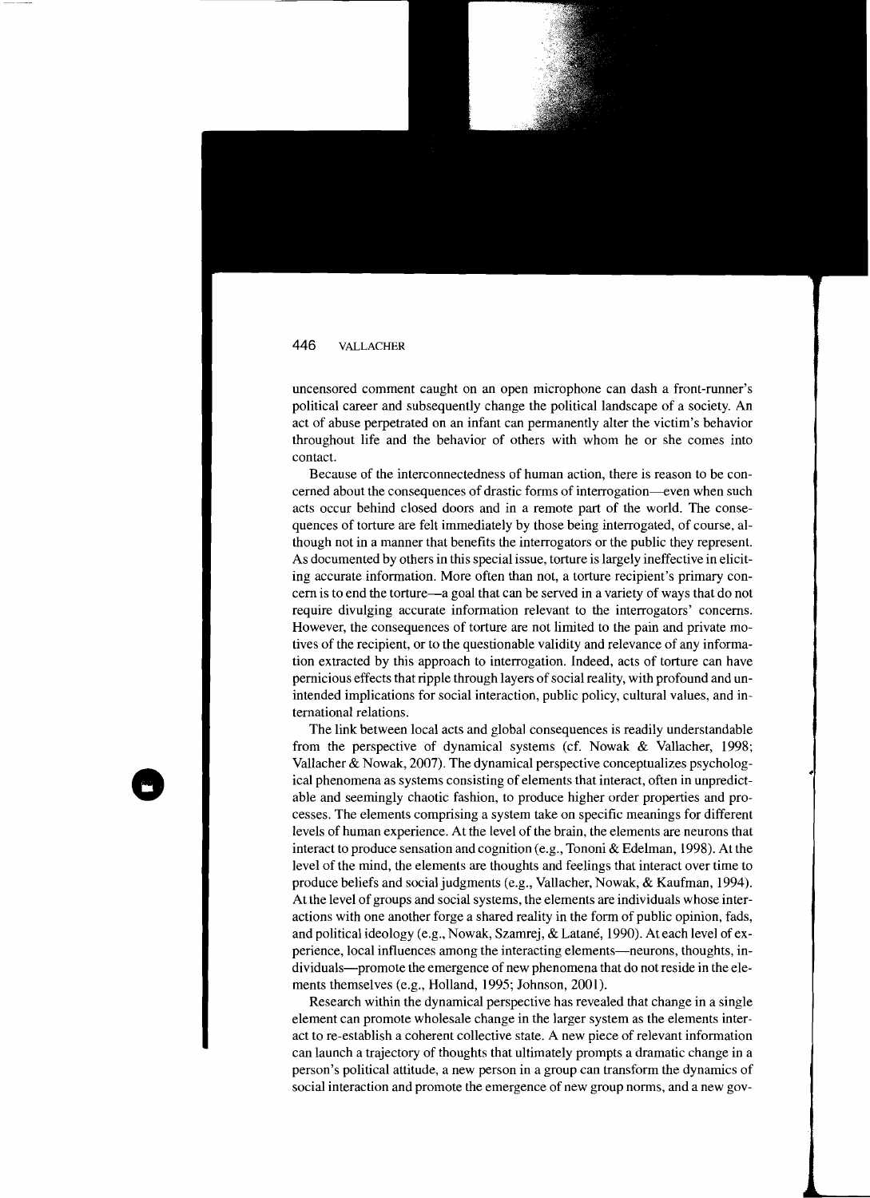uncensored comment caught on an open microphone can dash a front-runner's political career and subsequently change the political landscape of a society. An act of abuse perpetrated on an infant can permanently alter the victim's behavior throughout life and the behavior of others with whom he or she comes into contact.

Because of the interconnectedness of human action, there is reason to be concerned about the consequences of drastic forms of interrogation---even when such acts occur behind closed doors and in a remote part of the world. The consequences of torture are felt immediately by those being interrogated, of course, although not in a manner that benefits the interrogators or the public they represent. As documented by others in this special issue, torture is largely ineffective in eliciting accurate information. More often than not, a torture recipient's primary concern is to end the torture-a goal that can be served in a variety of ways that do not require divulging accurate information relevant to the interrogators' concerns. However, the consequences of torture are not limited to the pain and private motives of the recipient, or to the questionable validity and relevance of any information extracted by this approach to interrogation. Indeed, acts of torture can have pernicious effects that ripple through layers of social reality, with profound and unintended implications for social interaction, public policy, cultural values, and international relations.

The link between local acts and global consequences is readily understandable from the perspective of dynamical systems (cf. Nowak & Vallacher, 1998; Vallacher & Nowak, 2007). The dynamical perspective conceptualizes psychological phenomena as systems consisting of elements that interact, often in unpredictable and seemingly chaotic fashion, to produce higher order properties and processes. The elements comprising a system take on specific meanings for different levels of human experience. At the level of the brain, the elements are neurons that interact to produce sensation and cognition (e.g., Tononi & Edelman, 1998). At the level of the mind, the elements are thoughts and feelings that interact over time to produce beliefs and social judgments (e.g., Vallacher, Nowak, & Kaufman, 1994). At the level of groups and social systems, the elements are individuals whose interactions with one another forge a shared reality in the form of public opinion, fads, and political ideology (e.g., Nowak, Szamrej, & Latane, 1990). At each level of experience, local influences among the interacting elements-neurons, thoughts, individuals-promote the emergence of new phenomena that do not reside in the elements themselves (e.g., Holland, 1995; Johnson, 2001).

Research within the dynamical perspective has revealed that change in a single element can promote wholesale change in the larger system as the elements interact to re-establish a coherent collective state. A new piece of relevant information can launch a trajectory of thoughts that ultimately prompts a dramatic change in a person's political attitude, a new person in a group can transform the dynamics of social interaction and promote the emergence of new group norms, and a new gov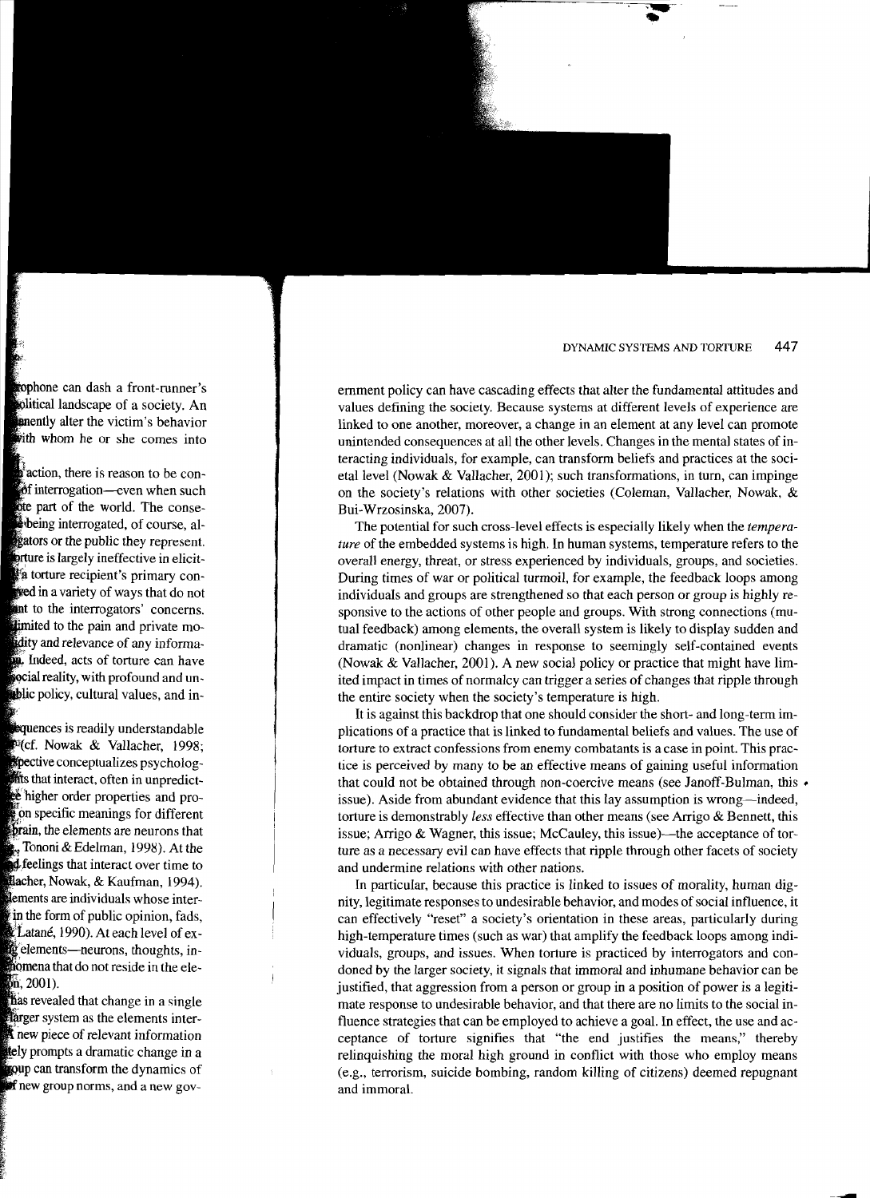emment policy can have cascading effects that alter the fundamental attitudes and values defining the society. Because systems at different levels of experience are linked to one another, moreover, a change in an element at any level can promote unintended consequences at all the other levels. Changes in the mental states of interacting individuals, for example, can transform beliefs and practices at the societal level (Nowak & Vallacher, 2001); such transformations, in turn, can impinge on the society's relations with other societies (Coleman, Vallacher, Nowak, & Bui-Wrzosinska,2007).

The potential for such cross-level effects is especially likely when the *temperature* of the embedded systems is high. In human systems, temperature refers to the overall energy, threat, or stress experienced by individuals, groups, and societies. During times of war or political turmoil, for example, the feedback loops among individuals and groups are strengthened so that each person or group is highly responsive to the actions of other people and groups. With strong connections (mutual feedback) among elements, the overall system is likely to display sudden and dramatic (nonlinear) changes in response to seemingly self-contained events (Nowak & Vallacher, 2001). A new social policy or practice that might have limited impact in times of normalcy can trigger a series of changes that ripple through the entire society when the society's temperature is high.

It is against this backdrop that one should consider the short- and long-term implications of a practice that is linked to fundamental beliefs and values. The use of torture to extract confessions from enemy combatants is a case in point. This practice is perceived by many to be an effective means of gaining useful information that could not be obtained through non-coercive means (see Janoff-Bulman, this • issue). Aside from abundant evidence that this lay assumption is wrong—indeed, torture is demonstrably *less* effective than other means (see Arrigo & Bennett, this issue; Arrigo  $\&$  Wagner, this issue; McCauley, this issue)—the acceptance of torture as a necessary evil can have effects that ripple through other facets of society and undermine relations with other nations.

In particular, because this practice is linked to issues of morality, human dignity, legitimate responses to undesirable behavior, and modes of social influence, it can effectively "reset" a society's orientation in these areas, particularly during high-temperature times (such as war) that amplify the feedback loops among individuals, groups, and issues. When torture is practiced by interrogators and condoned by the larger society, it signals that immoral and inhumane behavior can be justified, that aggression from a person or group in a position of power is a legitimate response to undesirable behavior, and that there are no limits to the social influence strategies that can be employed to achieve a goal. In effect, the use and acceptance of torture signifies that "the end justifies the means," thereby relinquishing the moral high ground in conflict with those who employ means (e.g., terrorism, suicide bombing, random killing of citizens) deemed repugnant and immoral.

---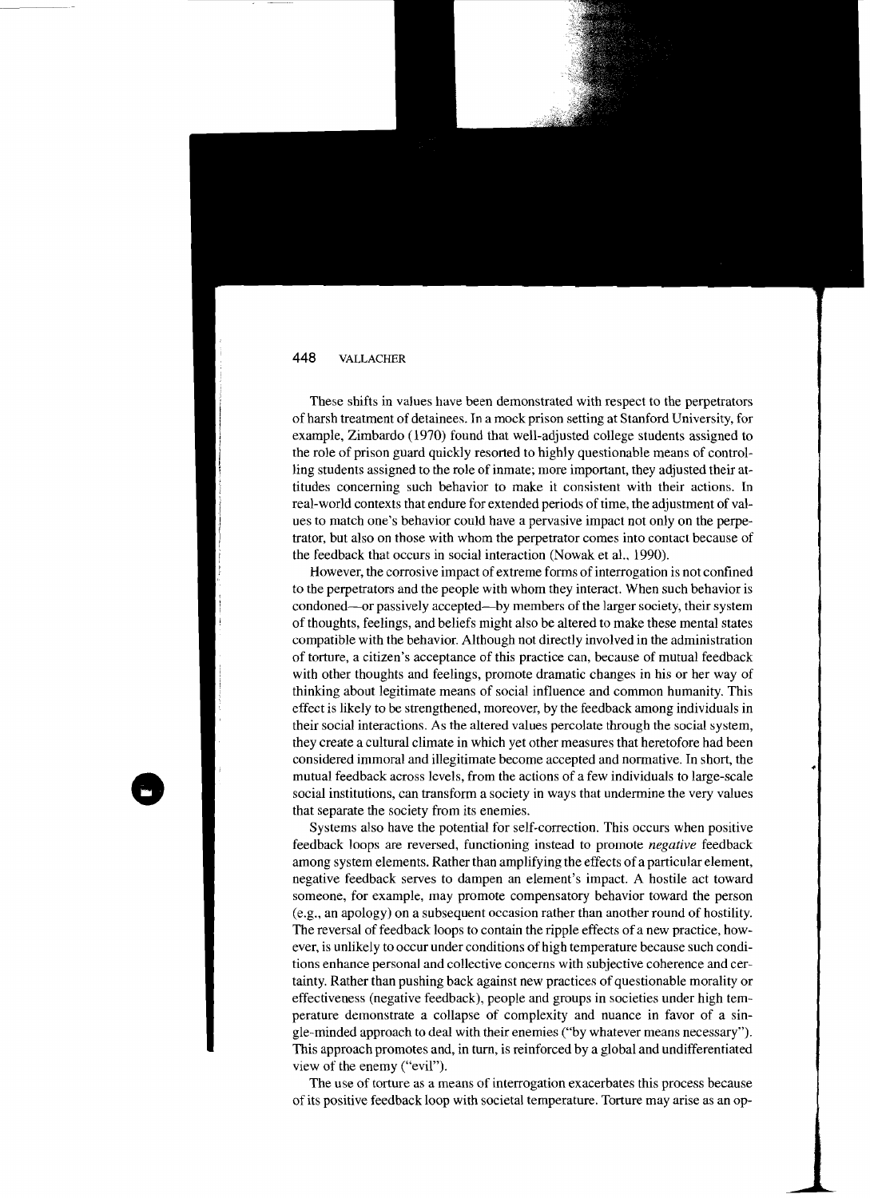These shifts in values have been demonstrated with respect to the perpetrators of harsh treatment of detainees. In a mock prison setting at Stanford University, for example, Zimbardo (1970) found that well-adjusted college students assigned to the role of prison guard quickly resorted to highly questionable means of controlling students assigned to the role of inmate; more important, they adjusted their attitudes concerning such behavior to make it consistent with their actions. In real-world contexts that endure for extended periods of time, the adjustment of values to match one's behavior could have a pervasive impact not only on the perpetrator, but also on those with whom the perpetrator comes into contact because of the feedback that occurs in social interaction (Nowak et al., 1990).

However, the corrosive impact of extreme forms of interrogation is not confined to the perpetrators and the people with whom they interact. When such behavior is condoned-or passively accepted-by members of the larger society, their system of thoughts, feelings, and beliefs might also be altered to make these mental states compatible with the behavior. Although not directly involved in the administration of torture, a citizen's acceptance of this practice can, because of mutual feedback with other thoughts and feelings, promote dramatic changes in his or her way of thinking about legitimate means of social influence and common humanity. This effect is likely to be strengthened, moreover, by the feedback among individuals in their social interactions. As the altered values percolate through the social system, they create a cultural climate in which yet other measures that heretofore had been considered immoral and illegitimate become accepted and normative. In short, the mutual feedback across levels, from the actions of a few individuals to large-scale social institutions, can transform a society in ways that undermine the very values that separate the society from its enemies.

Systems also have the potential for self-correction. This occurs when positive feedback loops are reversed, functioning instead to promote *negative* feedback among system elements. Rather than amplifying the effects of a particular element, negative feedback serves to dampen an element's impact. A hostile act toward someone, for example, may promote compensatory behavior toward the person (e.g., an apology) on a subsequent occasion rather than another round of hostility. The reversal of feedback loops to contain the ripple effects of a new practice, however, is unlikely to occur under conditions of high temperature because such conditions enhance personal and collective concerns with subjective coherence and certainty. Rather than pushing back against new practices of questionable morality or effectiveness (negative feedback), people and groups in societies under high temperature demonstrate a collapse of complexity and nuance in favor of a single-minded approach to deal with their enemies ("by whatever means necessary"). This approach promotes and, in tum, is reinforced by a global and undifferentiated view of the enemy ("evil").

The use of torture as a means of interrogation exacerbates this process because of its positive feedback loop with societal temperature. Torture may arise as an op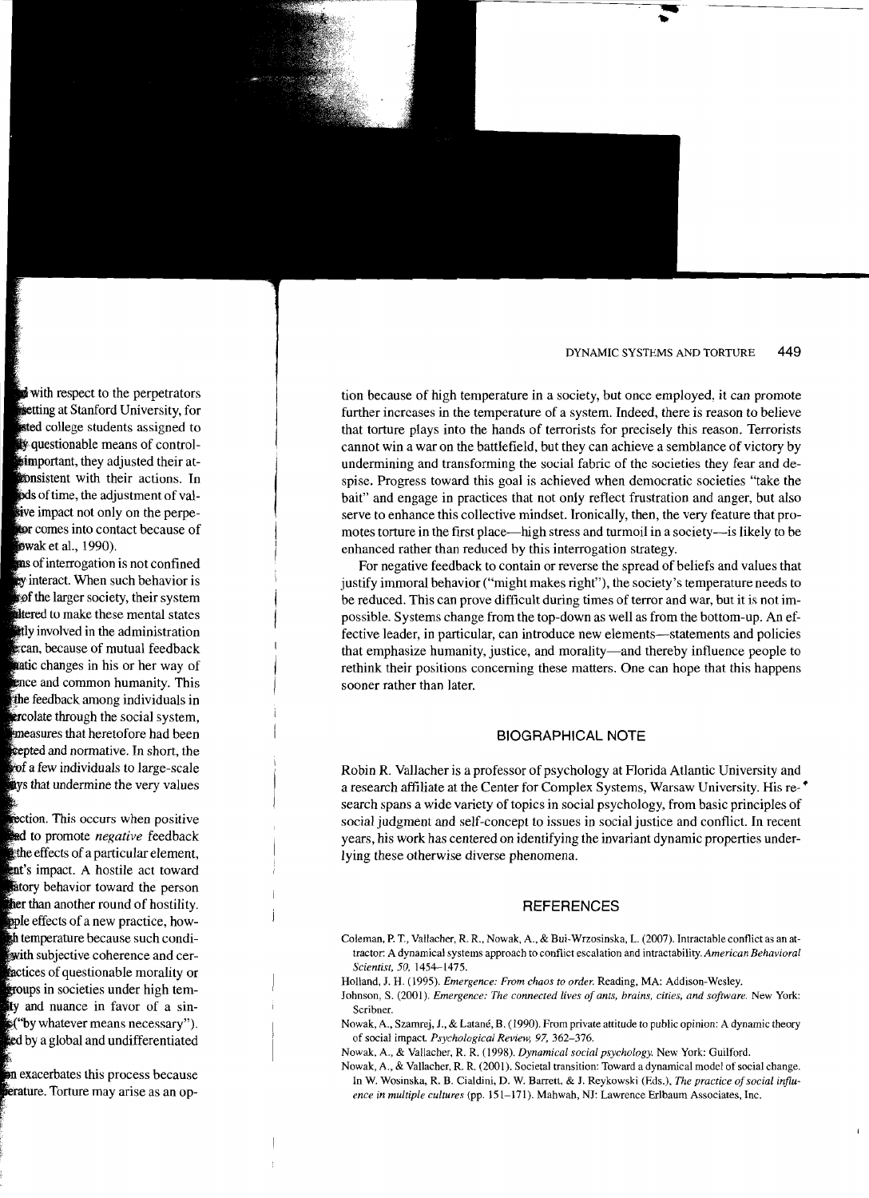tion because of high temperature in a society, but once employed, it can promote further increases in the temperature of a system. Indeed, there is reason to believe that torture plays into the hands of terrorists for precisely this reason. Terrorists cannot win a war on the battlefield, but they can achieve a semblance of victory by undermining and transforming the social fabric of the societies they fear and despise. Progress toward this goal is achieved when democratic societies "take the bait" and engage in practices that not only reflect frustration and anger, but also serve to enhance this collective mindset. Ironically, then, the very feature that promotes torture in the first place—high stress and turmoil in a society—is likely to be enhanced rather than reduced by this interrogation strategy.

For negative feedback to contain or reverse the spread of beliefs and values that justify immoral behavior ("might makes right"), the society's temperature needs to be reduced. This ean prove difficult during times of terror and war, but it is not impossible. Systems change from the top-down as well as from the bottom-up. An effective leader, in particular, can introduce new elements—statements and policies that emphasize humanity, justice, and morality-and thereby influence people to rethink their positions concerning these matters. One can hope that this happens sooner rather than later.

#### BIOGRAPHICAL NOTE

Robin R. Vallacher is a professor of psychology at Florida Atlantic University and a research affiliate at the Center for Complex Systems, Warsaw University. His re- • search spans a wide variety of topics in social psychology, from basic principles of social judgment and self-concept to issues in social justice and conflict. In recent years, his work has centered on identifying the invariant dynamic properties underlying these otherwise diverse phenomena.

#### REFERENCES

- Coleman, P. T, Vallacher, R. R., Nowak. A., & Bui-Wrzosinska, L. (2007). Intractable conflict as an attractor: A dynamical systems approach to conflict escalation and intractability. *American Behavioral Scientist, 50.* 1454-1475.
- Holland, J. H. (1995). *Emergence: From chaos to order.* Reading, MA: Addison-Wesley.
- Johnson, S. (2001). *Emergence: The connected lives of ants, brains. cities, and software,* New York: Scribner.
- Nowak, A., Szarnrej, J., & Latane, B. (1990). From private attitude to public opinion: A dynamic theory of social impact. *Psychological Review,* 97, 362-376.

Nowak, A" & Vallacher, R. R. (1998). *Dynamical social psychology.* New York: Guilford.

Nowak, A., & Vallacher, R. R. (2001). Societal transition: Toward a dynamical model of social change. In W. Wosinska, R. B. Cialdini, D. W. Barrett, & J. Reykowski (Eds.), *The practice ofsocial influence in multiple cultures* (pp. 151-171). Mahwah, NJ: Lawrence Erlbaum Associates, Inc.